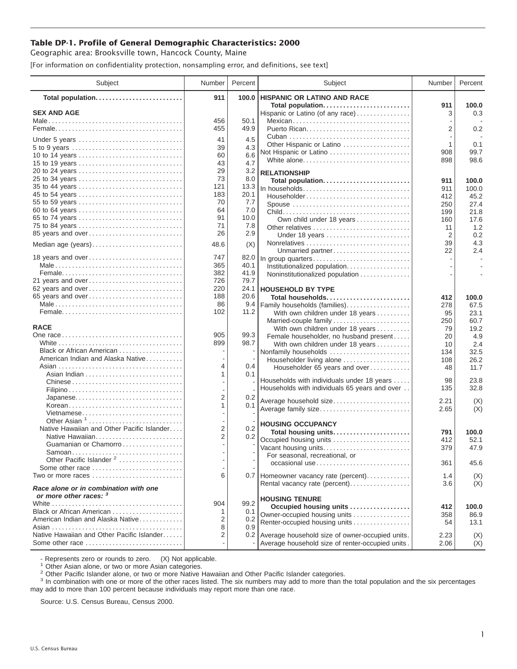## **Table DP-1. Profile of General Demographic Characteristics: 2000**

Geographic area: Brooksville town, Hancock County, Maine

[For information on confidentiality protection, nonsampling error, and definitions, see text]

| 911<br>100.0<br>HISPANIC OR LATINO AND RACE<br>Total population<br>Total population<br>911<br>100.0<br><b>SEX AND AGE</b><br>0.3<br>Hispanic or Latino (of any race)<br>3<br>456<br>50.1<br>Mexican<br>2<br>0.2<br>455<br>49.9<br>4.5<br>41<br>Under 5 years<br>0.1<br>Other Hispanic or Latino<br>1<br>39<br>4.3<br>5 to 9 years<br>99.7<br>908<br>Not Hispanic or Latino<br>6.6<br>60<br>10 to 14 years<br>98.6<br>White alone<br>898<br>43<br>4.7<br>15 to 19 years<br>29<br>3.2<br>20 to 24 years<br><b>RELATIONSHIP</b><br>73<br>8.0<br>25 to 34 years<br>Total population<br>911<br>100.0<br>35 to 44 years<br>121<br>13.3<br>911<br>100.0<br>183<br>20.1<br>45 to 54 years<br>Householder<br>412<br>45.2<br>70<br>7.7<br>55 to 59 years<br>27.4<br>Spouse<br>250<br>64<br>7.0<br>60 to 64 years<br>21.8<br>199<br>91<br>10.0<br>65 to 74 years<br>Own child under 18 years<br>17.6<br>160<br>71<br>7.8<br>75 to 84 years<br>1.2<br>Other relatives<br>11<br>26<br>2.9<br>85 years and over<br>0.2<br>Under 18 years<br>2<br>4.3<br>39<br>(X)<br>Median age (years)<br>48.6<br>22<br>2.4<br>Unmarried partner<br>18 years and over<br>747<br>82.0<br>In group quarters<br>365<br>40.1<br>Institutionalized population.<br>382<br>41.9<br>Noninstitutionalized population<br>79.7<br>21 years and over<br>726<br>24.1<br>62 years and over<br>220<br><b>HOUSEHOLD BY TYPE</b><br>65 years and over<br>188<br>20.6<br>Total households<br>412<br>100.0<br>86<br>9.4<br>Family households (families)<br>278<br>67.5<br>102<br>11.2<br>With own children under 18 years<br>23.1<br>95<br>Married-couple family<br>250<br>60.7<br><b>RACE</b><br>With own children under 18 years<br>19.2<br>79<br>99.3<br>905<br>4.9<br>Female householder, no husband present<br>20<br>98.7<br>899<br>With own children under 18 years<br>2.4<br>10<br>Black or African American<br>Nonfamily households<br>32.5<br>134<br>American Indian and Alaska Native<br>26.2<br>Householder living alone<br>108<br>4<br>0.4<br>11.7<br>Householder 65 years and over<br>48<br>0.1<br>1<br>Households with individuals under 18 years<br>23.8<br>98<br>Chinese<br>Households with individuals 65 years and over<br>32.8<br>135<br>$\overline{2}$<br>Japanese<br>0.2<br>Average household size<br>2.21<br>(X)<br>Korean<br>1<br>0.1<br>(X)<br>Average family size<br>2.65<br>Vietnamese<br>Other Asian $1, \ldots, \ldots, \ldots, \ldots, \ldots, \ldots$<br><b>HOUSING OCCUPANCY</b><br>Native Hawaiian and Other Pacific Islander<br>$\overline{2}$<br>0.2<br>Total housing units<br>100.0<br>791<br>$\overline{2}$<br>0.2<br>Occupied housing units<br>412<br>52.1<br>Guamanian or Chamorro<br>47.9<br>Vacant housing units<br>379<br>Samoan<br>For seasonal, recreational, or<br>Other Pacific Islander <sup>2</sup><br>361<br>45.6<br>occasional use<br>Some other race $\ldots, \ldots, \ldots, \ldots, \ldots, \ldots$<br>Two or more races $\dots\dots\dots\dots\dots\dots\dots\dots\dots\dots$<br>6<br>0.7 Homeowner vacancy rate (percent)<br>1.4<br>(X)<br>(X)<br>Rental vacancy rate (percent)<br>3.6<br>Race alone or in combination with one<br>or more other races: 3<br><b>HOUSING TENURE</b><br>904<br>99.2<br>Occupied housing units<br>412<br>100.0<br>Black or African American<br>0.1<br>1<br>Owner-occupied housing units<br>358<br>86.9<br>American Indian and Alaska Native<br>2<br>0.2<br>Renter-occupied housing units<br>54<br>13.1<br>8<br>0.9<br>Native Hawaiian and Other Pacific Islander<br>2<br>0.2 Average household size of owner-occupied units.<br>2.23<br>(X) | Subject | Number | Percent | Subject | Number | Percent |
|-------------------------------------------------------------------------------------------------------------------------------------------------------------------------------------------------------------------------------------------------------------------------------------------------------------------------------------------------------------------------------------------------------------------------------------------------------------------------------------------------------------------------------------------------------------------------------------------------------------------------------------------------------------------------------------------------------------------------------------------------------------------------------------------------------------------------------------------------------------------------------------------------------------------------------------------------------------------------------------------------------------------------------------------------------------------------------------------------------------------------------------------------------------------------------------------------------------------------------------------------------------------------------------------------------------------------------------------------------------------------------------------------------------------------------------------------------------------------------------------------------------------------------------------------------------------------------------------------------------------------------------------------------------------------------------------------------------------------------------------------------------------------------------------------------------------------------------------------------------------------------------------------------------------------------------------------------------------------------------------------------------------------------------------------------------------------------------------------------------------------------------------------------------------------------------------------------------------------------------------------------------------------------------------------------------------------------------------------------------------------------------------------------------------------------------------------------------------------------------------------------------------------------------------------------------------------------------------------------------------------------------------------------------------------------------------------------------------------------------------------------------------------------------------------------------------------------------------------------------------------------------------------------------------------------------------------------------------------------------------------------------------------------------------------------------------------------------------------------------------------------------------------------------------------------------------------------------------------------------------------------------------------------------------------------------------------------------------------------------------------------------------------------------------------------------------------------------------------------------------------------------------------------------------------------------------------------|---------|--------|---------|---------|--------|---------|
|                                                                                                                                                                                                                                                                                                                                                                                                                                                                                                                                                                                                                                                                                                                                                                                                                                                                                                                                                                                                                                                                                                                                                                                                                                                                                                                                                                                                                                                                                                                                                                                                                                                                                                                                                                                                                                                                                                                                                                                                                                                                                                                                                                                                                                                                                                                                                                                                                                                                                                                                                                                                                                                                                                                                                                                                                                                                                                                                                                                                                                                                                                                                                                                                                                                                                                                                                                                                                                                                                                                                                                               |         |        |         |         |        |         |
|                                                                                                                                                                                                                                                                                                                                                                                                                                                                                                                                                                                                                                                                                                                                                                                                                                                                                                                                                                                                                                                                                                                                                                                                                                                                                                                                                                                                                                                                                                                                                                                                                                                                                                                                                                                                                                                                                                                                                                                                                                                                                                                                                                                                                                                                                                                                                                                                                                                                                                                                                                                                                                                                                                                                                                                                                                                                                                                                                                                                                                                                                                                                                                                                                                                                                                                                                                                                                                                                                                                                                                               |         |        |         |         |        |         |
|                                                                                                                                                                                                                                                                                                                                                                                                                                                                                                                                                                                                                                                                                                                                                                                                                                                                                                                                                                                                                                                                                                                                                                                                                                                                                                                                                                                                                                                                                                                                                                                                                                                                                                                                                                                                                                                                                                                                                                                                                                                                                                                                                                                                                                                                                                                                                                                                                                                                                                                                                                                                                                                                                                                                                                                                                                                                                                                                                                                                                                                                                                                                                                                                                                                                                                                                                                                                                                                                                                                                                                               |         |        |         |         |        |         |
|                                                                                                                                                                                                                                                                                                                                                                                                                                                                                                                                                                                                                                                                                                                                                                                                                                                                                                                                                                                                                                                                                                                                                                                                                                                                                                                                                                                                                                                                                                                                                                                                                                                                                                                                                                                                                                                                                                                                                                                                                                                                                                                                                                                                                                                                                                                                                                                                                                                                                                                                                                                                                                                                                                                                                                                                                                                                                                                                                                                                                                                                                                                                                                                                                                                                                                                                                                                                                                                                                                                                                                               |         |        |         |         |        |         |
|                                                                                                                                                                                                                                                                                                                                                                                                                                                                                                                                                                                                                                                                                                                                                                                                                                                                                                                                                                                                                                                                                                                                                                                                                                                                                                                                                                                                                                                                                                                                                                                                                                                                                                                                                                                                                                                                                                                                                                                                                                                                                                                                                                                                                                                                                                                                                                                                                                                                                                                                                                                                                                                                                                                                                                                                                                                                                                                                                                                                                                                                                                                                                                                                                                                                                                                                                                                                                                                                                                                                                                               |         |        |         |         |        |         |
|                                                                                                                                                                                                                                                                                                                                                                                                                                                                                                                                                                                                                                                                                                                                                                                                                                                                                                                                                                                                                                                                                                                                                                                                                                                                                                                                                                                                                                                                                                                                                                                                                                                                                                                                                                                                                                                                                                                                                                                                                                                                                                                                                                                                                                                                                                                                                                                                                                                                                                                                                                                                                                                                                                                                                                                                                                                                                                                                                                                                                                                                                                                                                                                                                                                                                                                                                                                                                                                                                                                                                                               |         |        |         |         |        |         |
|                                                                                                                                                                                                                                                                                                                                                                                                                                                                                                                                                                                                                                                                                                                                                                                                                                                                                                                                                                                                                                                                                                                                                                                                                                                                                                                                                                                                                                                                                                                                                                                                                                                                                                                                                                                                                                                                                                                                                                                                                                                                                                                                                                                                                                                                                                                                                                                                                                                                                                                                                                                                                                                                                                                                                                                                                                                                                                                                                                                                                                                                                                                                                                                                                                                                                                                                                                                                                                                                                                                                                                               |         |        |         |         |        |         |
|                                                                                                                                                                                                                                                                                                                                                                                                                                                                                                                                                                                                                                                                                                                                                                                                                                                                                                                                                                                                                                                                                                                                                                                                                                                                                                                                                                                                                                                                                                                                                                                                                                                                                                                                                                                                                                                                                                                                                                                                                                                                                                                                                                                                                                                                                                                                                                                                                                                                                                                                                                                                                                                                                                                                                                                                                                                                                                                                                                                                                                                                                                                                                                                                                                                                                                                                                                                                                                                                                                                                                                               |         |        |         |         |        |         |
|                                                                                                                                                                                                                                                                                                                                                                                                                                                                                                                                                                                                                                                                                                                                                                                                                                                                                                                                                                                                                                                                                                                                                                                                                                                                                                                                                                                                                                                                                                                                                                                                                                                                                                                                                                                                                                                                                                                                                                                                                                                                                                                                                                                                                                                                                                                                                                                                                                                                                                                                                                                                                                                                                                                                                                                                                                                                                                                                                                                                                                                                                                                                                                                                                                                                                                                                                                                                                                                                                                                                                                               |         |        |         |         |        |         |
|                                                                                                                                                                                                                                                                                                                                                                                                                                                                                                                                                                                                                                                                                                                                                                                                                                                                                                                                                                                                                                                                                                                                                                                                                                                                                                                                                                                                                                                                                                                                                                                                                                                                                                                                                                                                                                                                                                                                                                                                                                                                                                                                                                                                                                                                                                                                                                                                                                                                                                                                                                                                                                                                                                                                                                                                                                                                                                                                                                                                                                                                                                                                                                                                                                                                                                                                                                                                                                                                                                                                                                               |         |        |         |         |        |         |
|                                                                                                                                                                                                                                                                                                                                                                                                                                                                                                                                                                                                                                                                                                                                                                                                                                                                                                                                                                                                                                                                                                                                                                                                                                                                                                                                                                                                                                                                                                                                                                                                                                                                                                                                                                                                                                                                                                                                                                                                                                                                                                                                                                                                                                                                                                                                                                                                                                                                                                                                                                                                                                                                                                                                                                                                                                                                                                                                                                                                                                                                                                                                                                                                                                                                                                                                                                                                                                                                                                                                                                               |         |        |         |         |        |         |
|                                                                                                                                                                                                                                                                                                                                                                                                                                                                                                                                                                                                                                                                                                                                                                                                                                                                                                                                                                                                                                                                                                                                                                                                                                                                                                                                                                                                                                                                                                                                                                                                                                                                                                                                                                                                                                                                                                                                                                                                                                                                                                                                                                                                                                                                                                                                                                                                                                                                                                                                                                                                                                                                                                                                                                                                                                                                                                                                                                                                                                                                                                                                                                                                                                                                                                                                                                                                                                                                                                                                                                               |         |        |         |         |        |         |
|                                                                                                                                                                                                                                                                                                                                                                                                                                                                                                                                                                                                                                                                                                                                                                                                                                                                                                                                                                                                                                                                                                                                                                                                                                                                                                                                                                                                                                                                                                                                                                                                                                                                                                                                                                                                                                                                                                                                                                                                                                                                                                                                                                                                                                                                                                                                                                                                                                                                                                                                                                                                                                                                                                                                                                                                                                                                                                                                                                                                                                                                                                                                                                                                                                                                                                                                                                                                                                                                                                                                                                               |         |        |         |         |        |         |
|                                                                                                                                                                                                                                                                                                                                                                                                                                                                                                                                                                                                                                                                                                                                                                                                                                                                                                                                                                                                                                                                                                                                                                                                                                                                                                                                                                                                                                                                                                                                                                                                                                                                                                                                                                                                                                                                                                                                                                                                                                                                                                                                                                                                                                                                                                                                                                                                                                                                                                                                                                                                                                                                                                                                                                                                                                                                                                                                                                                                                                                                                                                                                                                                                                                                                                                                                                                                                                                                                                                                                                               |         |        |         |         |        |         |
|                                                                                                                                                                                                                                                                                                                                                                                                                                                                                                                                                                                                                                                                                                                                                                                                                                                                                                                                                                                                                                                                                                                                                                                                                                                                                                                                                                                                                                                                                                                                                                                                                                                                                                                                                                                                                                                                                                                                                                                                                                                                                                                                                                                                                                                                                                                                                                                                                                                                                                                                                                                                                                                                                                                                                                                                                                                                                                                                                                                                                                                                                                                                                                                                                                                                                                                                                                                                                                                                                                                                                                               |         |        |         |         |        |         |
|                                                                                                                                                                                                                                                                                                                                                                                                                                                                                                                                                                                                                                                                                                                                                                                                                                                                                                                                                                                                                                                                                                                                                                                                                                                                                                                                                                                                                                                                                                                                                                                                                                                                                                                                                                                                                                                                                                                                                                                                                                                                                                                                                                                                                                                                                                                                                                                                                                                                                                                                                                                                                                                                                                                                                                                                                                                                                                                                                                                                                                                                                                                                                                                                                                                                                                                                                                                                                                                                                                                                                                               |         |        |         |         |        |         |
|                                                                                                                                                                                                                                                                                                                                                                                                                                                                                                                                                                                                                                                                                                                                                                                                                                                                                                                                                                                                                                                                                                                                                                                                                                                                                                                                                                                                                                                                                                                                                                                                                                                                                                                                                                                                                                                                                                                                                                                                                                                                                                                                                                                                                                                                                                                                                                                                                                                                                                                                                                                                                                                                                                                                                                                                                                                                                                                                                                                                                                                                                                                                                                                                                                                                                                                                                                                                                                                                                                                                                                               |         |        |         |         |        |         |
|                                                                                                                                                                                                                                                                                                                                                                                                                                                                                                                                                                                                                                                                                                                                                                                                                                                                                                                                                                                                                                                                                                                                                                                                                                                                                                                                                                                                                                                                                                                                                                                                                                                                                                                                                                                                                                                                                                                                                                                                                                                                                                                                                                                                                                                                                                                                                                                                                                                                                                                                                                                                                                                                                                                                                                                                                                                                                                                                                                                                                                                                                                                                                                                                                                                                                                                                                                                                                                                                                                                                                                               |         |        |         |         |        |         |
|                                                                                                                                                                                                                                                                                                                                                                                                                                                                                                                                                                                                                                                                                                                                                                                                                                                                                                                                                                                                                                                                                                                                                                                                                                                                                                                                                                                                                                                                                                                                                                                                                                                                                                                                                                                                                                                                                                                                                                                                                                                                                                                                                                                                                                                                                                                                                                                                                                                                                                                                                                                                                                                                                                                                                                                                                                                                                                                                                                                                                                                                                                                                                                                                                                                                                                                                                                                                                                                                                                                                                                               |         |        |         |         |        |         |
|                                                                                                                                                                                                                                                                                                                                                                                                                                                                                                                                                                                                                                                                                                                                                                                                                                                                                                                                                                                                                                                                                                                                                                                                                                                                                                                                                                                                                                                                                                                                                                                                                                                                                                                                                                                                                                                                                                                                                                                                                                                                                                                                                                                                                                                                                                                                                                                                                                                                                                                                                                                                                                                                                                                                                                                                                                                                                                                                                                                                                                                                                                                                                                                                                                                                                                                                                                                                                                                                                                                                                                               |         |        |         |         |        |         |
|                                                                                                                                                                                                                                                                                                                                                                                                                                                                                                                                                                                                                                                                                                                                                                                                                                                                                                                                                                                                                                                                                                                                                                                                                                                                                                                                                                                                                                                                                                                                                                                                                                                                                                                                                                                                                                                                                                                                                                                                                                                                                                                                                                                                                                                                                                                                                                                                                                                                                                                                                                                                                                                                                                                                                                                                                                                                                                                                                                                                                                                                                                                                                                                                                                                                                                                                                                                                                                                                                                                                                                               |         |        |         |         |        |         |
|                                                                                                                                                                                                                                                                                                                                                                                                                                                                                                                                                                                                                                                                                                                                                                                                                                                                                                                                                                                                                                                                                                                                                                                                                                                                                                                                                                                                                                                                                                                                                                                                                                                                                                                                                                                                                                                                                                                                                                                                                                                                                                                                                                                                                                                                                                                                                                                                                                                                                                                                                                                                                                                                                                                                                                                                                                                                                                                                                                                                                                                                                                                                                                                                                                                                                                                                                                                                                                                                                                                                                                               |         |        |         |         |        |         |
|                                                                                                                                                                                                                                                                                                                                                                                                                                                                                                                                                                                                                                                                                                                                                                                                                                                                                                                                                                                                                                                                                                                                                                                                                                                                                                                                                                                                                                                                                                                                                                                                                                                                                                                                                                                                                                                                                                                                                                                                                                                                                                                                                                                                                                                                                                                                                                                                                                                                                                                                                                                                                                                                                                                                                                                                                                                                                                                                                                                                                                                                                                                                                                                                                                                                                                                                                                                                                                                                                                                                                                               |         |        |         |         |        |         |
|                                                                                                                                                                                                                                                                                                                                                                                                                                                                                                                                                                                                                                                                                                                                                                                                                                                                                                                                                                                                                                                                                                                                                                                                                                                                                                                                                                                                                                                                                                                                                                                                                                                                                                                                                                                                                                                                                                                                                                                                                                                                                                                                                                                                                                                                                                                                                                                                                                                                                                                                                                                                                                                                                                                                                                                                                                                                                                                                                                                                                                                                                                                                                                                                                                                                                                                                                                                                                                                                                                                                                                               |         |        |         |         |        |         |
|                                                                                                                                                                                                                                                                                                                                                                                                                                                                                                                                                                                                                                                                                                                                                                                                                                                                                                                                                                                                                                                                                                                                                                                                                                                                                                                                                                                                                                                                                                                                                                                                                                                                                                                                                                                                                                                                                                                                                                                                                                                                                                                                                                                                                                                                                                                                                                                                                                                                                                                                                                                                                                                                                                                                                                                                                                                                                                                                                                                                                                                                                                                                                                                                                                                                                                                                                                                                                                                                                                                                                                               |         |        |         |         |        |         |
|                                                                                                                                                                                                                                                                                                                                                                                                                                                                                                                                                                                                                                                                                                                                                                                                                                                                                                                                                                                                                                                                                                                                                                                                                                                                                                                                                                                                                                                                                                                                                                                                                                                                                                                                                                                                                                                                                                                                                                                                                                                                                                                                                                                                                                                                                                                                                                                                                                                                                                                                                                                                                                                                                                                                                                                                                                                                                                                                                                                                                                                                                                                                                                                                                                                                                                                                                                                                                                                                                                                                                                               |         |        |         |         |        |         |
|                                                                                                                                                                                                                                                                                                                                                                                                                                                                                                                                                                                                                                                                                                                                                                                                                                                                                                                                                                                                                                                                                                                                                                                                                                                                                                                                                                                                                                                                                                                                                                                                                                                                                                                                                                                                                                                                                                                                                                                                                                                                                                                                                                                                                                                                                                                                                                                                                                                                                                                                                                                                                                                                                                                                                                                                                                                                                                                                                                                                                                                                                                                                                                                                                                                                                                                                                                                                                                                                                                                                                                               |         |        |         |         |        |         |
|                                                                                                                                                                                                                                                                                                                                                                                                                                                                                                                                                                                                                                                                                                                                                                                                                                                                                                                                                                                                                                                                                                                                                                                                                                                                                                                                                                                                                                                                                                                                                                                                                                                                                                                                                                                                                                                                                                                                                                                                                                                                                                                                                                                                                                                                                                                                                                                                                                                                                                                                                                                                                                                                                                                                                                                                                                                                                                                                                                                                                                                                                                                                                                                                                                                                                                                                                                                                                                                                                                                                                                               |         |        |         |         |        |         |
|                                                                                                                                                                                                                                                                                                                                                                                                                                                                                                                                                                                                                                                                                                                                                                                                                                                                                                                                                                                                                                                                                                                                                                                                                                                                                                                                                                                                                                                                                                                                                                                                                                                                                                                                                                                                                                                                                                                                                                                                                                                                                                                                                                                                                                                                                                                                                                                                                                                                                                                                                                                                                                                                                                                                                                                                                                                                                                                                                                                                                                                                                                                                                                                                                                                                                                                                                                                                                                                                                                                                                                               |         |        |         |         |        |         |
|                                                                                                                                                                                                                                                                                                                                                                                                                                                                                                                                                                                                                                                                                                                                                                                                                                                                                                                                                                                                                                                                                                                                                                                                                                                                                                                                                                                                                                                                                                                                                                                                                                                                                                                                                                                                                                                                                                                                                                                                                                                                                                                                                                                                                                                                                                                                                                                                                                                                                                                                                                                                                                                                                                                                                                                                                                                                                                                                                                                                                                                                                                                                                                                                                                                                                                                                                                                                                                                                                                                                                                               |         |        |         |         |        |         |
|                                                                                                                                                                                                                                                                                                                                                                                                                                                                                                                                                                                                                                                                                                                                                                                                                                                                                                                                                                                                                                                                                                                                                                                                                                                                                                                                                                                                                                                                                                                                                                                                                                                                                                                                                                                                                                                                                                                                                                                                                                                                                                                                                                                                                                                                                                                                                                                                                                                                                                                                                                                                                                                                                                                                                                                                                                                                                                                                                                                                                                                                                                                                                                                                                                                                                                                                                                                                                                                                                                                                                                               |         |        |         |         |        |         |
|                                                                                                                                                                                                                                                                                                                                                                                                                                                                                                                                                                                                                                                                                                                                                                                                                                                                                                                                                                                                                                                                                                                                                                                                                                                                                                                                                                                                                                                                                                                                                                                                                                                                                                                                                                                                                                                                                                                                                                                                                                                                                                                                                                                                                                                                                                                                                                                                                                                                                                                                                                                                                                                                                                                                                                                                                                                                                                                                                                                                                                                                                                                                                                                                                                                                                                                                                                                                                                                                                                                                                                               |         |        |         |         |        |         |
|                                                                                                                                                                                                                                                                                                                                                                                                                                                                                                                                                                                                                                                                                                                                                                                                                                                                                                                                                                                                                                                                                                                                                                                                                                                                                                                                                                                                                                                                                                                                                                                                                                                                                                                                                                                                                                                                                                                                                                                                                                                                                                                                                                                                                                                                                                                                                                                                                                                                                                                                                                                                                                                                                                                                                                                                                                                                                                                                                                                                                                                                                                                                                                                                                                                                                                                                                                                                                                                                                                                                                                               |         |        |         |         |        |         |
|                                                                                                                                                                                                                                                                                                                                                                                                                                                                                                                                                                                                                                                                                                                                                                                                                                                                                                                                                                                                                                                                                                                                                                                                                                                                                                                                                                                                                                                                                                                                                                                                                                                                                                                                                                                                                                                                                                                                                                                                                                                                                                                                                                                                                                                                                                                                                                                                                                                                                                                                                                                                                                                                                                                                                                                                                                                                                                                                                                                                                                                                                                                                                                                                                                                                                                                                                                                                                                                                                                                                                                               |         |        |         |         |        |         |
|                                                                                                                                                                                                                                                                                                                                                                                                                                                                                                                                                                                                                                                                                                                                                                                                                                                                                                                                                                                                                                                                                                                                                                                                                                                                                                                                                                                                                                                                                                                                                                                                                                                                                                                                                                                                                                                                                                                                                                                                                                                                                                                                                                                                                                                                                                                                                                                                                                                                                                                                                                                                                                                                                                                                                                                                                                                                                                                                                                                                                                                                                                                                                                                                                                                                                                                                                                                                                                                                                                                                                                               |         |        |         |         |        |         |
|                                                                                                                                                                                                                                                                                                                                                                                                                                                                                                                                                                                                                                                                                                                                                                                                                                                                                                                                                                                                                                                                                                                                                                                                                                                                                                                                                                                                                                                                                                                                                                                                                                                                                                                                                                                                                                                                                                                                                                                                                                                                                                                                                                                                                                                                                                                                                                                                                                                                                                                                                                                                                                                                                                                                                                                                                                                                                                                                                                                                                                                                                                                                                                                                                                                                                                                                                                                                                                                                                                                                                                               |         |        |         |         |        |         |
|                                                                                                                                                                                                                                                                                                                                                                                                                                                                                                                                                                                                                                                                                                                                                                                                                                                                                                                                                                                                                                                                                                                                                                                                                                                                                                                                                                                                                                                                                                                                                                                                                                                                                                                                                                                                                                                                                                                                                                                                                                                                                                                                                                                                                                                                                                                                                                                                                                                                                                                                                                                                                                                                                                                                                                                                                                                                                                                                                                                                                                                                                                                                                                                                                                                                                                                                                                                                                                                                                                                                                                               |         |        |         |         |        |         |
|                                                                                                                                                                                                                                                                                                                                                                                                                                                                                                                                                                                                                                                                                                                                                                                                                                                                                                                                                                                                                                                                                                                                                                                                                                                                                                                                                                                                                                                                                                                                                                                                                                                                                                                                                                                                                                                                                                                                                                                                                                                                                                                                                                                                                                                                                                                                                                                                                                                                                                                                                                                                                                                                                                                                                                                                                                                                                                                                                                                                                                                                                                                                                                                                                                                                                                                                                                                                                                                                                                                                                                               |         |        |         |         |        |         |
|                                                                                                                                                                                                                                                                                                                                                                                                                                                                                                                                                                                                                                                                                                                                                                                                                                                                                                                                                                                                                                                                                                                                                                                                                                                                                                                                                                                                                                                                                                                                                                                                                                                                                                                                                                                                                                                                                                                                                                                                                                                                                                                                                                                                                                                                                                                                                                                                                                                                                                                                                                                                                                                                                                                                                                                                                                                                                                                                                                                                                                                                                                                                                                                                                                                                                                                                                                                                                                                                                                                                                                               |         |        |         |         |        |         |
|                                                                                                                                                                                                                                                                                                                                                                                                                                                                                                                                                                                                                                                                                                                                                                                                                                                                                                                                                                                                                                                                                                                                                                                                                                                                                                                                                                                                                                                                                                                                                                                                                                                                                                                                                                                                                                                                                                                                                                                                                                                                                                                                                                                                                                                                                                                                                                                                                                                                                                                                                                                                                                                                                                                                                                                                                                                                                                                                                                                                                                                                                                                                                                                                                                                                                                                                                                                                                                                                                                                                                                               |         |        |         |         |        |         |
|                                                                                                                                                                                                                                                                                                                                                                                                                                                                                                                                                                                                                                                                                                                                                                                                                                                                                                                                                                                                                                                                                                                                                                                                                                                                                                                                                                                                                                                                                                                                                                                                                                                                                                                                                                                                                                                                                                                                                                                                                                                                                                                                                                                                                                                                                                                                                                                                                                                                                                                                                                                                                                                                                                                                                                                                                                                                                                                                                                                                                                                                                                                                                                                                                                                                                                                                                                                                                                                                                                                                                                               |         |        |         |         |        |         |
|                                                                                                                                                                                                                                                                                                                                                                                                                                                                                                                                                                                                                                                                                                                                                                                                                                                                                                                                                                                                                                                                                                                                                                                                                                                                                                                                                                                                                                                                                                                                                                                                                                                                                                                                                                                                                                                                                                                                                                                                                                                                                                                                                                                                                                                                                                                                                                                                                                                                                                                                                                                                                                                                                                                                                                                                                                                                                                                                                                                                                                                                                                                                                                                                                                                                                                                                                                                                                                                                                                                                                                               |         |        |         |         |        |         |
|                                                                                                                                                                                                                                                                                                                                                                                                                                                                                                                                                                                                                                                                                                                                                                                                                                                                                                                                                                                                                                                                                                                                                                                                                                                                                                                                                                                                                                                                                                                                                                                                                                                                                                                                                                                                                                                                                                                                                                                                                                                                                                                                                                                                                                                                                                                                                                                                                                                                                                                                                                                                                                                                                                                                                                                                                                                                                                                                                                                                                                                                                                                                                                                                                                                                                                                                                                                                                                                                                                                                                                               |         |        |         |         |        |         |
|                                                                                                                                                                                                                                                                                                                                                                                                                                                                                                                                                                                                                                                                                                                                                                                                                                                                                                                                                                                                                                                                                                                                                                                                                                                                                                                                                                                                                                                                                                                                                                                                                                                                                                                                                                                                                                                                                                                                                                                                                                                                                                                                                                                                                                                                                                                                                                                                                                                                                                                                                                                                                                                                                                                                                                                                                                                                                                                                                                                                                                                                                                                                                                                                                                                                                                                                                                                                                                                                                                                                                                               |         |        |         |         |        |         |
|                                                                                                                                                                                                                                                                                                                                                                                                                                                                                                                                                                                                                                                                                                                                                                                                                                                                                                                                                                                                                                                                                                                                                                                                                                                                                                                                                                                                                                                                                                                                                                                                                                                                                                                                                                                                                                                                                                                                                                                                                                                                                                                                                                                                                                                                                                                                                                                                                                                                                                                                                                                                                                                                                                                                                                                                                                                                                                                                                                                                                                                                                                                                                                                                                                                                                                                                                                                                                                                                                                                                                                               |         |        |         |         |        |         |
|                                                                                                                                                                                                                                                                                                                                                                                                                                                                                                                                                                                                                                                                                                                                                                                                                                                                                                                                                                                                                                                                                                                                                                                                                                                                                                                                                                                                                                                                                                                                                                                                                                                                                                                                                                                                                                                                                                                                                                                                                                                                                                                                                                                                                                                                                                                                                                                                                                                                                                                                                                                                                                                                                                                                                                                                                                                                                                                                                                                                                                                                                                                                                                                                                                                                                                                                                                                                                                                                                                                                                                               |         |        |         |         |        |         |
|                                                                                                                                                                                                                                                                                                                                                                                                                                                                                                                                                                                                                                                                                                                                                                                                                                                                                                                                                                                                                                                                                                                                                                                                                                                                                                                                                                                                                                                                                                                                                                                                                                                                                                                                                                                                                                                                                                                                                                                                                                                                                                                                                                                                                                                                                                                                                                                                                                                                                                                                                                                                                                                                                                                                                                                                                                                                                                                                                                                                                                                                                                                                                                                                                                                                                                                                                                                                                                                                                                                                                                               |         |        |         |         |        |         |
|                                                                                                                                                                                                                                                                                                                                                                                                                                                                                                                                                                                                                                                                                                                                                                                                                                                                                                                                                                                                                                                                                                                                                                                                                                                                                                                                                                                                                                                                                                                                                                                                                                                                                                                                                                                                                                                                                                                                                                                                                                                                                                                                                                                                                                                                                                                                                                                                                                                                                                                                                                                                                                                                                                                                                                                                                                                                                                                                                                                                                                                                                                                                                                                                                                                                                                                                                                                                                                                                                                                                                                               |         |        |         |         |        |         |
|                                                                                                                                                                                                                                                                                                                                                                                                                                                                                                                                                                                                                                                                                                                                                                                                                                                                                                                                                                                                                                                                                                                                                                                                                                                                                                                                                                                                                                                                                                                                                                                                                                                                                                                                                                                                                                                                                                                                                                                                                                                                                                                                                                                                                                                                                                                                                                                                                                                                                                                                                                                                                                                                                                                                                                                                                                                                                                                                                                                                                                                                                                                                                                                                                                                                                                                                                                                                                                                                                                                                                                               |         |        |         |         |        |         |
|                                                                                                                                                                                                                                                                                                                                                                                                                                                                                                                                                                                                                                                                                                                                                                                                                                                                                                                                                                                                                                                                                                                                                                                                                                                                                                                                                                                                                                                                                                                                                                                                                                                                                                                                                                                                                                                                                                                                                                                                                                                                                                                                                                                                                                                                                                                                                                                                                                                                                                                                                                                                                                                                                                                                                                                                                                                                                                                                                                                                                                                                                                                                                                                                                                                                                                                                                                                                                                                                                                                                                                               |         |        |         |         |        |         |
|                                                                                                                                                                                                                                                                                                                                                                                                                                                                                                                                                                                                                                                                                                                                                                                                                                                                                                                                                                                                                                                                                                                                                                                                                                                                                                                                                                                                                                                                                                                                                                                                                                                                                                                                                                                                                                                                                                                                                                                                                                                                                                                                                                                                                                                                                                                                                                                                                                                                                                                                                                                                                                                                                                                                                                                                                                                                                                                                                                                                                                                                                                                                                                                                                                                                                                                                                                                                                                                                                                                                                                               |         |        |         |         |        |         |
|                                                                                                                                                                                                                                                                                                                                                                                                                                                                                                                                                                                                                                                                                                                                                                                                                                                                                                                                                                                                                                                                                                                                                                                                                                                                                                                                                                                                                                                                                                                                                                                                                                                                                                                                                                                                                                                                                                                                                                                                                                                                                                                                                                                                                                                                                                                                                                                                                                                                                                                                                                                                                                                                                                                                                                                                                                                                                                                                                                                                                                                                                                                                                                                                                                                                                                                                                                                                                                                                                                                                                                               |         |        |         |         |        |         |
| Some other race<br>Average household size of renter-occupied units.<br>2.06<br>(X)                                                                                                                                                                                                                                                                                                                                                                                                                                                                                                                                                                                                                                                                                                                                                                                                                                                                                                                                                                                                                                                                                                                                                                                                                                                                                                                                                                                                                                                                                                                                                                                                                                                                                                                                                                                                                                                                                                                                                                                                                                                                                                                                                                                                                                                                                                                                                                                                                                                                                                                                                                                                                                                                                                                                                                                                                                                                                                                                                                                                                                                                                                                                                                                                                                                                                                                                                                                                                                                                                            |         |        |         |         |        |         |

- Represents zero or rounds to zero. (X) Not applicable.<br><sup>1</sup> Other Asian alone, or two or more Asian categories.

<sup>2</sup> Other Pacific Islander alone, or two or more Native Hawaiian and Other Pacific Islander categories.<br><sup>3</sup> In combination with one or more of the other races listed. The six numbers may add to more than the total populati may add to more than 100 percent because individuals may report more than one race.

Source: U.S. Census Bureau, Census 2000.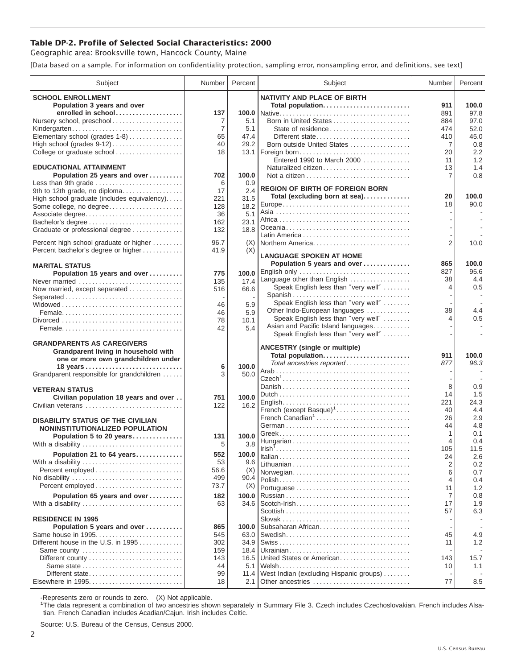## **Table DP-2. Profile of Selected Social Characteristics: 2000**

Geographic area: Brooksville town, Hancock County, Maine

[Data based on a sample. For information on confidentiality protection, sampling error, nonsampling error, and definitions, see text]

| Subject                                                                      | Number         | Percent       | Subject                                 | Number         | Percent     |
|------------------------------------------------------------------------------|----------------|---------------|-----------------------------------------|----------------|-------------|
| <b>SCHOOL ENROLLMENT</b>                                                     |                |               | <b>NATIVITY AND PLACE OF BIRTH</b>      |                |             |
| Population 3 years and over                                                  |                |               | Total population                        | 911            | 100.0       |
| enrolled in school                                                           | 137            |               |                                         | 891            | 97.8        |
| Nursery school, preschool                                                    | 7              | 5.1           | Born in United States                   | 884            | 97.0        |
| Kindergarten                                                                 | $\overline{7}$ | 5.1           |                                         | 474            | 52.0        |
| Elementary school (grades 1-8)                                               | 65             | 47.4          | Different state                         | 410            | 45.0        |
| High school (grades 9-12)                                                    | 40             | 29.2          | Born outside United States              | 7              | 0.8         |
| College or graduate school                                                   | 18             | 13.1          | Foreign born                            | 20             | 2.2         |
|                                                                              |                |               | Entered 1990 to March 2000              | 11             | 1.2         |
| <b>EDUCATIONAL ATTAINMENT</b>                                                |                |               | Naturalized citizen                     | 13             | 1.4         |
| Population 25 years and over                                                 | 702            | 100.0         |                                         | 7              | 0.8         |
| Less than 9th grade                                                          | 6              | 0.9           | <b>REGION OF BIRTH OF FOREIGN BORN</b>  |                |             |
| 9th to 12th grade, no diploma<br>High school graduate (includes equivalency) | 17<br>221      | 2.4<br>31.5   | Total (excluding born at sea)           | 20             | 100.0       |
| Some college, no degree                                                      | 128            | 18.2          |                                         | 18             | 90.0        |
| Associate degree                                                             | 36             | 5.1           |                                         |                |             |
| Bachelor's degree                                                            | 162            | 23.1          |                                         |                |             |
| Graduate or professional degree                                              | 132            | 18.8          |                                         |                |             |
|                                                                              |                |               |                                         |                |             |
| Percent high school graduate or higher                                       | 96.7           | (X)           | Northern America                        | $\overline{2}$ | 10.0        |
| Percent bachelor's degree or higher                                          | 41.9           | (X)           | <b>LANGUAGE SPOKEN AT HOME</b>          |                |             |
|                                                                              |                |               | Population 5 years and over             | 865            | 100.0       |
| <b>MARITAL STATUS</b>                                                        |                |               | English only                            | 827            | 95.6        |
| Population 15 years and over<br>Never married                                | 775<br>135     | 100.0<br>17.4 | Language other than English             | 38             | 4.4         |
| Now married, except separated                                                | 516            | 66.6          | Speak English less than "very well"     | 4              | 0.5         |
| Separated                                                                    |                |               | Spanish                                 |                |             |
|                                                                              | 46             | 5.9           | Speak English less than "very well"     |                |             |
|                                                                              | 46             | 5.9           | Other Indo-European languages           | 38             | 4.4         |
|                                                                              | 78             | 10.1          | Speak English less than "very well"     | 4              | 0.5         |
|                                                                              | 42             | 5.4           | Asian and Pacific Island languages      |                |             |
|                                                                              |                |               | Speak English less than "very well"     |                |             |
| <b>GRANDPARENTS AS CAREGIVERS</b>                                            |                |               | <b>ANCESTRY (single or multiple)</b>    |                |             |
| Grandparent living in household with                                         |                |               | Total population                        | 911            | 100.0       |
| one or more own grandchildren under                                          |                |               | Total ancestries reported               | 877            | 96.3        |
|                                                                              | 6<br>3         | 100.0<br>50.0 |                                         |                |             |
| Grandparent responsible for grandchildren                                    |                |               |                                         |                |             |
| <b>VETERAN STATUS</b>                                                        |                |               |                                         | 8              | 0.9         |
| Civilian population 18 years and over                                        | 751            | 100.0         |                                         | 14             | 1.5         |
| Civilian veterans                                                            | 122            | 16.2          |                                         | 221            | 24.3        |
|                                                                              |                |               | French (except Basque) <sup>1</sup>     | 40             | 4.4         |
| <b>DISABILITY STATUS OF THE CIVILIAN</b>                                     |                |               | French Canadian <sup>1</sup>            | 26             | 2.9         |
| NONINSTITUTIONALIZED POPULATION                                              |                |               |                                         | 44             | 4.8         |
| Population 5 to 20 years                                                     | 131            | 100.0         |                                         | 1              | 0.1         |
| With a disability                                                            | 5              | 3.8           |                                         | 4<br>105       | 0.4<br>11.5 |
| Population 21 to 64 years                                                    | 552            | 100.0         |                                         | 24             | 2.6         |
| With a disability                                                            | 53             | 9.6           |                                         | 2              | 0.2         |
| Percent employed                                                             | 56.6           | (X)           | Norwegian                               | 6              | 0.7         |
| No disability                                                                | 499            | 90.4          |                                         | 4              | 0.4         |
| Percent employed                                                             | 73.7           | (X)           |                                         | 11             | 1.2         |
| Population 65 years and over                                                 | 182            | 100.0         |                                         | 7              | 0.8         |
| With a disability                                                            | 63             | 34.6          |                                         | 17             | 1.9         |
|                                                                              |                |               |                                         | 57             | 6.3         |
| <b>RESIDENCE IN 1995</b>                                                     |                |               |                                         |                |             |
| Population 5 years and over                                                  | 865            | 100.0         | Subsaharan African                      |                |             |
| Same house in 1995                                                           | 545            | 63.0          |                                         | 45             | 4.9         |
| Different house in the U.S. in 1995                                          | 302            | 34.9          |                                         | 11             | 1.2         |
| Same county                                                                  | 159            | 18.4          |                                         |                |             |
|                                                                              | 143            | 16.5          | United States or American               | 143            | 15.7<br>1.1 |
| Different state                                                              | 44<br>99       | 5.1<br>11.4   | West Indian (excluding Hispanic groups) | 10             |             |
| Elsewhere in 1995                                                            | 18             | 2.1           | Other ancestries                        | 77             | 8.5         |
|                                                                              |                |               |                                         |                |             |

-Represents zero or rounds to zero. (X) Not applicable. 1 The data represent a combination of two ancestries shown separately in Summary File 3. Czech includes Czechoslovakian. French includes Alsatian. French Canadian includes Acadian/Cajun. Irish includes Celtic.

Source: U.S. Bureau of the Census, Census 2000.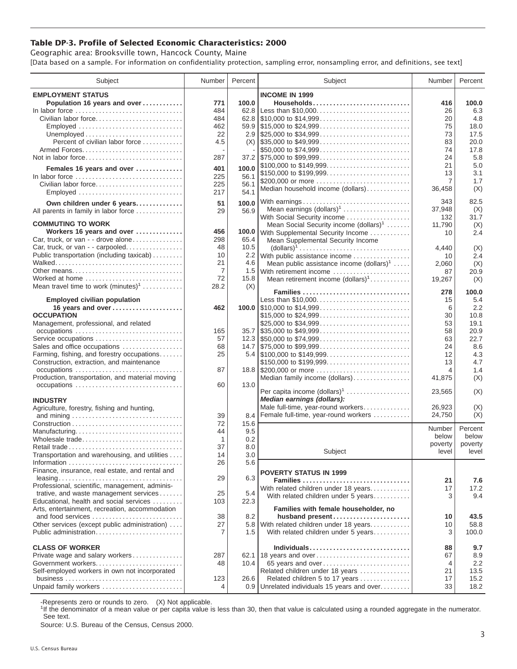## **Table DP-3. Profile of Selected Economic Characteristics: 2000**

Geographic area: Brooksville town, Hancock County, Maine [Data based on a sample. For information on confidentiality protection, sampling error, nonsampling error, and definitions, see text]

| Subject                                                       | Number | Percent | Subject                                                                                | Number         | Percent |
|---------------------------------------------------------------|--------|---------|----------------------------------------------------------------------------------------|----------------|---------|
| <b>EMPLOYMENT STATUS</b>                                      |        |         | <b>INCOME IN 1999</b>                                                                  |                |         |
| Population 16 years and over                                  | 771    | 100.0   | Households                                                                             | 416            | 100.0   |
| In labor force                                                | 484    |         | 62.8 Less than \$10,000                                                                | 26             | 6.3     |
|                                                               | 484    |         |                                                                                        | 20             |         |
| Civilian labor force                                          |        |         |                                                                                        |                | 4.8     |
|                                                               | 462    |         |                                                                                        | 75             | 18.0    |
|                                                               | 22     |         |                                                                                        | 73             | 17.5    |
| Percent of civilian labor force                               | 4.5    |         | $(X)$ \\ \$35,000 to \$49,999                                                          | 83             | 20.0    |
|                                                               |        |         | \$50,000 to \$74,999                                                                   | 74             | 17.8    |
| Not in labor force                                            | 287    |         |                                                                                        | 24             | 5.8     |
| Females 16 years and over                                     | 401    | 100.0   | \$100,000 to \$149,999                                                                 | 21             | 5.0     |
| In labor force                                                | 225    | 56.1    | \$150,000 to \$199,999                                                                 | 13             | 3.1     |
| Civilian labor force                                          | 225    | 56.1    | \$200,000 or more                                                                      | $\overline{7}$ | 1.7     |
|                                                               | 217    | 54.1    | Median household income (dollars)                                                      | 36,458         | (X)     |
| Employed                                                      |        |         |                                                                                        |                |         |
| Own children under 6 years                                    | 51     | 100.0   | With earnings                                                                          | 343            | 82.5    |
| All parents in family in labor force                          | 29     | 56.9    | Mean earnings (dollars) <sup>1</sup>                                                   | 37,948         | (X)     |
|                                                               |        |         | With Social Security income                                                            | 132            | 31.7    |
| <b>COMMUTING TO WORK</b>                                      |        |         | Mean Social Security income $(dollars)^1$                                              | 11,790         | (X)     |
| Workers 16 years and over                                     | 456    |         | 100.0 With Supplemental Security Income                                                | 10             | 2.4     |
| Car, truck, or van - - drove alone                            | 298    | 65.4    | Mean Supplemental Security Income                                                      |                |         |
| Car, truck, or van - - carpooled                              | 48     | 10.5    | $\text{(dollars)}^1 \dots \dots \dots \dots \dots \dots \dots \dots \dots \dots \dots$ | 4,440          | (X)     |
| Public transportation (including taxicab)                     | 10     | 2.2     | With public assistance income                                                          | 10             | 2.4     |
|                                                               | 21     | 4.6     | Mean public assistance income $(dollars)^1 \ldots$ .                                   | 2,060          | (X)     |
|                                                               | 7      |         | 1.5 With retirement income                                                             | 87             | 20.9    |
| Worked at home                                                | 72     | 15.8    | Mean retirement income $(dollars)1$                                                    | 19,267         | (X)     |
| Mean travel time to work $(minutes)^1$                        | 28.2   | (X)     |                                                                                        |                |         |
|                                                               |        |         | Families                                                                               | 278            | 100.0   |
| <b>Employed civilian population</b>                           |        |         | Less than \$10,000                                                                     | 15             | 5.4     |
| 16 years and over                                             | 462    |         |                                                                                        | 6              | 2.2     |
| <b>OCCUPATION</b>                                             |        |         | \$15,000 to \$24,999                                                                   | 30             | 10.8    |
| Management, professional, and related                         |        |         | \$25,000 to \$34,999                                                                   | 53             | 19.1    |
| occupations                                                   | 165    |         | $35.7$ \\ \$35,000 to \$49,999                                                         | 58             | 20.9    |
| Service occupations                                           | 57     |         |                                                                                        | 63             | 22.7    |
| Sales and office occupations                                  | 68     |         |                                                                                        | 24             | 8.6     |
| Farming, fishing, and forestry occupations                    | 25     |         |                                                                                        | 12             | 4.3     |
| Construction, extraction, and maintenance                     |        |         | \$150,000 to \$199,999                                                                 | 13             | 4.7     |
| occupations                                                   | 87     |         | 18.8 \$200,000 or more                                                                 | 4              | 1.4     |
| Production, transportation, and material moving               |        |         | Median family income (dollars)                                                         | 41,875         | (X)     |
|                                                               | 60     | 13.0    |                                                                                        |                |         |
|                                                               |        |         | Per capita income (dollars) <sup>1</sup>                                               | 23,565         | (X)     |
| <b>INDUSTRY</b>                                               |        |         | Median earnings (dollars):                                                             |                |         |
| Agriculture, forestry, fishing and hunting,                   |        |         | Male full-time, year-round workers                                                     | 26,923         | (X)     |
|                                                               | 39     | 8.4     | Female full-time, year-round workers                                                   | 24,750         | (X)     |
|                                                               | 72     | 15.6    |                                                                                        |                |         |
| Manufacturing                                                 | 44     | 9.5     |                                                                                        | Number         | Percent |
| Wholesale trade                                               | 1      | 0.2     |                                                                                        | below          | below   |
|                                                               | 37     | 8.0     |                                                                                        | poverty        | poverty |
| Retail trade<br>Transportation and warehousing, and utilities | 14     | 3.0     | Subject                                                                                | level          | level   |
|                                                               |        |         |                                                                                        |                |         |
|                                                               | 26     | 5.6     |                                                                                        |                |         |
| Finance, insurance, real estate, and rental and               |        |         | <b>POVERTY STATUS IN 1999</b>                                                          |                |         |
|                                                               | 29     | 6.3     | Families                                                                               | 21             | 7.6     |
| Professional, scientific, management, adminis-                |        |         | With related children under 18 years                                                   | 17             | 17.2    |
| trative, and waste management services                        | 25     | 5.4     | With related children under 5 years                                                    | 3              | 9.4     |
| Educational, health and social services                       | 103    | 22.3    |                                                                                        |                |         |
| Arts, entertainment, recreation, accommodation                |        |         | Families with female householder, no                                                   |                |         |
| and food services                                             | 38     | 8.2     | husband present                                                                        | 10             | 43.5    |
| Other services (except public administration)                 | 27     | 5.8     | With related children under 18 years                                                   | 10             | 58.8    |
| Public administration                                         | 7      | 1.5     | With related children under 5 years                                                    | 3              | 100.0   |
|                                                               |        |         |                                                                                        |                |         |
| <b>CLASS OF WORKER</b>                                        |        |         | Individuals                                                                            | 88             | 9.7     |
| Private wage and salary workers                               | 287    |         | 62.1 18 years and over                                                                 | 67             | 8.9     |
| Government workers                                            | 48     | 10.4    | 65 years and over                                                                      | 4              | 2.2     |
| Self-employed workers in own not incorporated                 |        |         | Related children under 18 years                                                        | 21             | 13.5    |
|                                                               | 123    | 26.6    | Related children 5 to 17 years                                                         | 17             | 15.2    |
| Unpaid family workers                                         | 4      |         | 0.9 Unrelated individuals 15 years and over                                            | 33             | 18.2    |

-Represents zero or rounds to zero. (X) Not applicable.

<sup>1</sup>If the denominator of a mean value or per capita value is less than 30, then that value is calculated using a rounded aggregate in the numerator. See text.

Source: U.S. Bureau of the Census, Census 2000.